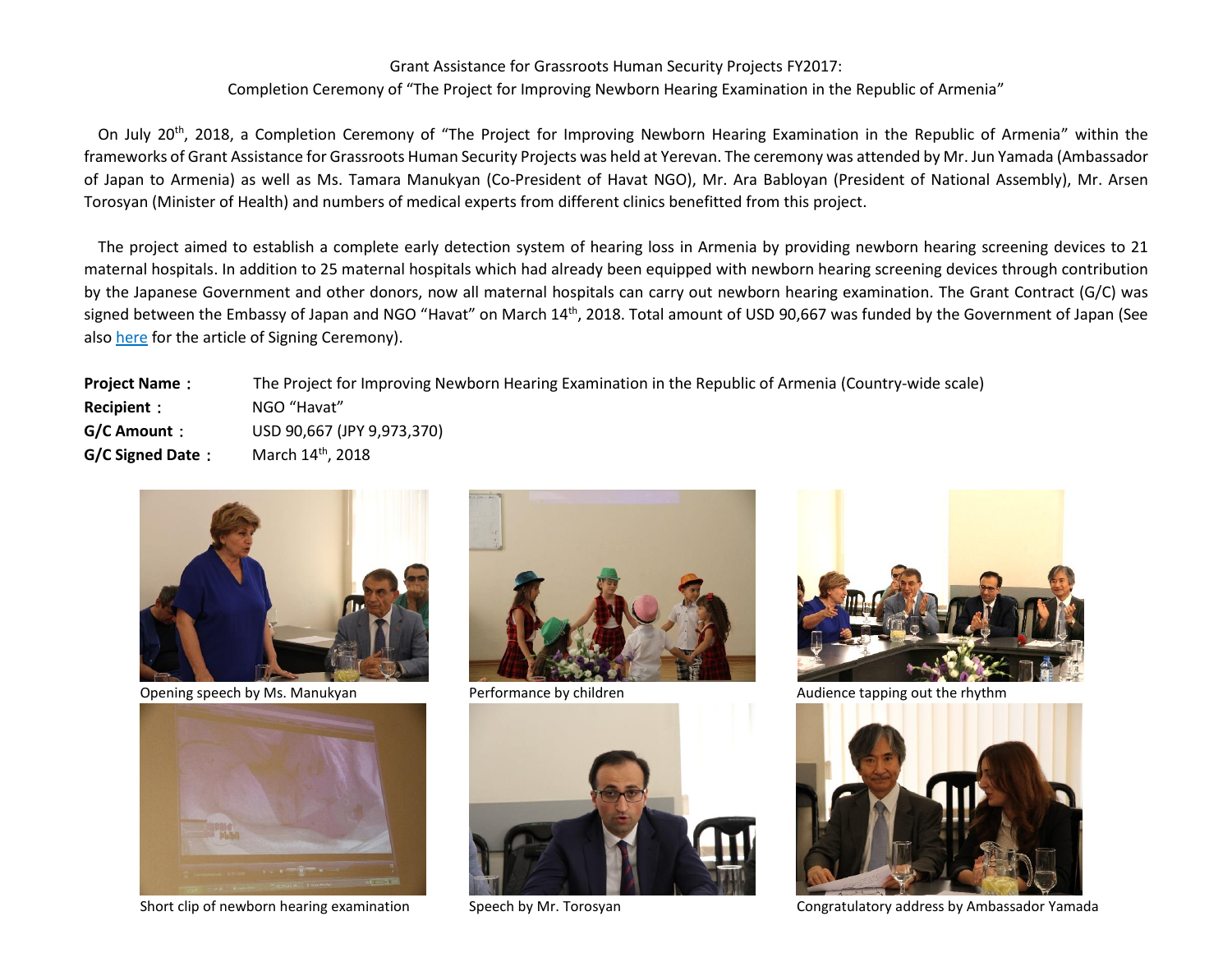## Grant Assistance for Grassroots Human Security Projects FY2017:

## Completion Ceremony of "The Project for Improving Newborn Hearing Examination in the Republic of Armenia"

On July 20<sup>th</sup>, 2018, a Completion Ceremony of "The Project for Improving Newborn Hearing Examination in the Republic of Armenia" within the frameworks of Grant Assistance for Grassroots Human Security Projects was held at Yerevan. The ceremony was attended by Mr. Jun Yamada (Ambassador of Japan to Armenia) as well as Ms. Tamara Manukyan (Co-President of Havat NGO), Mr. Ara Babloyan (President of National Assembly), Mr. Arsen Torosyan (Minister of Health) and numbers of medical experts from different clinics benefitted from this project.

The project aimed to establish a complete early detection system of hearing loss in Armenia by providing newborn hearing screening devices to 21 maternal hospitals. In addition to 25 maternal hospitals which had already been equipped with newborn hearing screening devices through contribution by the Japanese Government and other donors, now all maternal hospitals can carry out newborn hearing examination. The Grant Contract (G/C) was signed between the Embassy of Japan and NGO "Havat" on March 14<sup>th</sup>, 2018. Total amount of USD 90,667 was funded by the Government of Japan (See also here for the article of Signing Ceremony).

| <b>Project Name:</b> | The Project for Improving Newborn Hearing Examination in the Republic of Armenia (Country-wide scale) |
|----------------------|-------------------------------------------------------------------------------------------------------|
| <b>Recipient :</b>   | NGO "Havat"                                                                                           |
| G/C Amount :         | USD 90,667 (JPY 9,973,370)                                                                            |
| G/C Signed Date:     | March 14 <sup>th</sup> , 2018                                                                         |
|                      |                                                                                                       |



Opening speech by Ms. Manukyan **Performance by children** Audience tapping out the rhythm











Short clip of newborn hearing examination Speech by Mr. Torosyan Congratulatory address by Ambassador Yamada